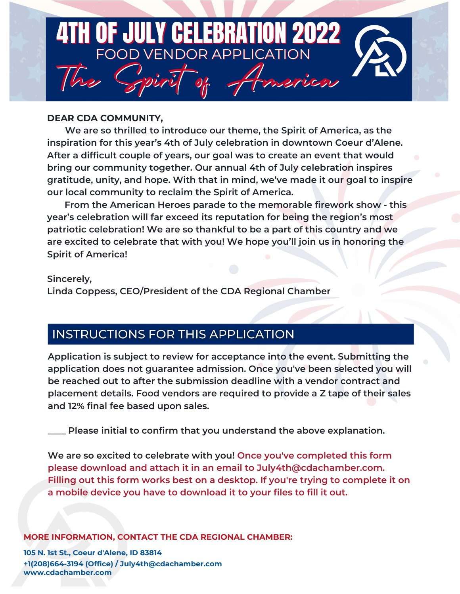

### **DEAR CDA COMMUNITY,**

 **We are so thrilled to introduce our theme, the Spirit of America, as the inspiration for this year's 4th of July celebration in downtown Coeur d'Alene. After a difficult couple of years, our goal was to create an event that would bring our community together. Our annual 4th of July celebration inspires gratitude, unity, and hope. With that in mind, we've made it our goal to inspire our local community to reclaim the Spirit of America.**

 **From the American Heroes parade to the memorable firework show - this year's celebration will far exceed its reputation for being the region's most patriotic celebration! We are so thankful to be a part of this country and we are excited to celebrate that with you! We hope you'll join us in honoring the Spirit of America!**

### **Sincerely,**

**Linda Coppess, CEO/President of the CDA Regional Chamber**

# **INSTRUCTIONS FOR THIS APPLICATION**

**Application is subject to review for acceptance into the event. Submitting the application does not guarantee admission. Once you've been selected you will be reached out to after the submission deadline with a vendor contract and placement details. Food vendors are required to provide a Z tape of their sales and 12% final fee based upon sales.**

**\_\_\_\_ Please initial to confirm that you understand the above explanation.**

**We are so excited to celebrate with you! Once you've completed this form please download and attach it in an email to July4th@cdachamber.com. Filling out this form works best on a desktop. If you're trying to complete it on a mobile device you have to download it to your files to fill it out.**

### **MORE INFORMATION, CONTACT THE CDA REGIONAL CHAMBER:**

**105 N. 1st St., Coeur d'Alene, ID 83814 +1(208)664-3194 (Office) / July4th@cdachamber.com www.cdachamber.com**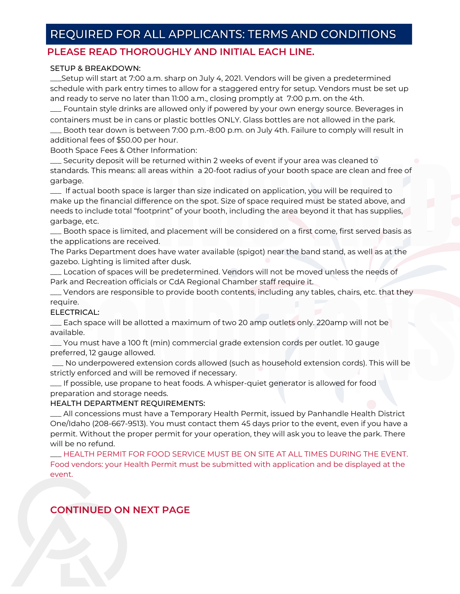## REQUIRED FOR ALL APPLICANTS: TERMS AND CONDITIONS

### **PLEASE READ THOROUGHLY AND INITIAL EACH LINE.**

#### SETUP & BREAKDOWN:

\_\_\_Setup will start at 7:00 a.m. sharp on July 4, 2021. Vendors will be given a predetermined schedule with park entry times to allow for a staggered entry for setup. Vendors must be set up and ready to serve no later than 11:00 a.m., closing promptly at 7:00 p.m. on the 4th.

containers must be in cans or plastic bottles ONLY. Glass bottles are not allowed in the park. \_\_\_ Fountain style drinks are allowed only if powered by your own energy source. Beverages in

Booth tear down is between 7:00 p.m.-8:00 p.m. on July 4th. Failure to comply will result in additional fees of \$50.00 per hour.

Booth Space Fees & Other Information:

Security deposit will be returned within 2 weeks of event if your area was cleaned to standards. This means: all areas within a 20-foot radius of your booth space are clean and free of garbage.

garbage.<br>
If actual booth space is larger than size indicated on application, you will be required to<br>
make up the financial difference on the spot. Size of space required must be stated above, and<br>
needs to include total \_\_\_ If actual booth space is larger than size indicated on application, you will be required to make up the financial difference on the spot. Size of space required must be stated above, and needs to include total "footprint" of your booth, including the area beyond it that has supplies, garbage, etc.

\_\_\_ Booth space is limited, and placement will be considered on a first come, first served basis as the applications are received.

The Parks Department does have water available (spigot) near the band stand, as well as at the gazebo. Lighting is limited after dusk.

\_\_\_ Location of spaces will be predetermined. Vendors will not be moved unless the needs of Park and Recreation officials or CdA Regional Chamber staff require it.

\_\_\_ Vendors are responsible to provide booth contents, including any tables, chairs, etc. that they require.

#### ELECTRICAL:

\_\_\_ Each space will be allotted a maximum of two 20 amp outlets only. 220amp will not be available.

\_\_\_ You must have a 100 ft (min) commercial grade extension cords per outlet. 10 gauge preferred, 12 gauge allowed.

ELECTRICAL:<br>
— Each space will be allotted a maximum of two 20 amp outlets only. 220amp will not be<br>
available.<br>
— You must have a 100 ft (min) commercial grade extension cords per outlet. 10 gauge<br>
preferred, 12 gauge all \_\_\_ No underpowered extension cords allowed (such as household extension cords). This will be strictly enforced and will be removed if necessary.

\_\_\_ If possible, use propane to heat foods. A whisper-quiet generator is allowed for food preparation and storage needs.

#### HEALTH DEPARTMENT REQUIREMENTS:

\_\_\_ All concessions must have a Temporary Health Permit, issued by Panhandle Health District One/Idaho (208-667-9513). You must contact them 45 days prior to the event, even if you have a permit. Without the proper permit for your operation, they will ask you to leave the park. There will be no refund.

\_\_\_ HEALTH PERMIT FOR FOOD SERVICE MUST BE ON SITE AT ALL TIMES DURING THE EVENT. Food vendors: your Health Permit must be submitted with application and be displayed at the event.

### **CONTINUED ON NEXT PAGE**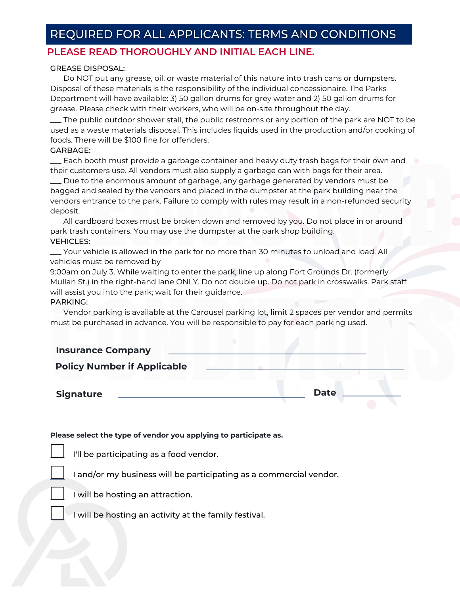# REQUIRED FOR ALL APPLICANTS: TERMS AND CONDITIONS

### **PLEASE READ THOROUGHLY AND INITIAL EACH LINE.**

#### GREASE DISPOSAL:

\_\_\_ Do NOT put any grease, oil, or waste material of this nature into trash cans or dumpsters. Disposal of these materials is the responsibility of the individual concessionaire. The Parks Department will have available: 3) 50 gallon drums for grey water and 2) 50 gallon drums for grease. Please check with their workers, who will be on-site throughout the day.

\_\_\_ The public outdoor shower stall, the public restrooms or any portion of the park are NOT to be used as a waste materials disposal. This includes liquids used in the production and/or cooking of foods. There will be \$100 fine for offenders.

#### GARBAGE:

\_\_\_ Each booth must provide a garbage container and heavy duty trash bags for their own and their customers use. All vendors must also supply a garbage can with bags for their area.

Due to the enormous amount of garbage, any garbage generated by vendors must be<br>Dagged and sealed by the vendors and placed in the dumpster at the park building near the<br>vendors entrance to the park. Failure to comply with \_\_\_ Due to the enormous amount of garbage, any garbage generated by vendors must be bagged and sealed by the vendors and placed in the dumpster at the park building near the vendors entrance to the park. Failure to comply with rules may result in a non-refunded security deposit.

\_\_\_ All cardboard boxes must be broken down and removed by you. Do not place in or around park trash containers. You may use the dumpster at the park shop building. VEHICLES:

\_\_\_ Your vehicle is allowed in the park for no more than 30 minutes to unload and load. All vehicles must be removed by

9:00am on July 3. While waiting to enter the park, line up along Fort Grounds Dr. (formerly Mullan St.) in the right-hand lane ONLY. Do not double up. Do not park in crosswalks. Park staff will assist you into the park; wait for their guidance.

#### PARKING:

| — Vendor parking is available at the Carousel parking lot, limit 2 spaces per vendor and permits<br>must be purchased in advance. You will be responsible to pay for each parking used. |             |
|-----------------------------------------------------------------------------------------------------------------------------------------------------------------------------------------|-------------|
| <b>Insurance Company</b>                                                                                                                                                                |             |
| <b>Policy Number if Applicable</b>                                                                                                                                                      |             |
| <b>Signature</b>                                                                                                                                                                        | <b>Date</b> |

#### **Please select the type of vendor you applying to participate as.**

I'll be participating as a food vendor.



I and/or my business will be participating as a commercial vendor.

I will be hosting an attraction.

I will be hosting an activity at the family festival.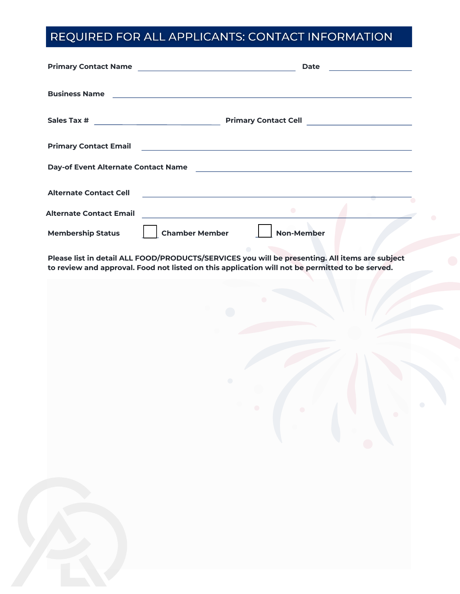# REQUIRED FOR ALL APPLICANTS: CONTACT INFORMATION

|                                | <b>Date</b><br><u> 1990 - Johann Barbara, martxa a</u>                                                                                                                                            |
|--------------------------------|---------------------------------------------------------------------------------------------------------------------------------------------------------------------------------------------------|
|                                |                                                                                                                                                                                                   |
|                                |                                                                                                                                                                                                   |
| <b>Primary Contact Email</b>   | <u> 1989 - Johann Stein, mars an deus Amerikaansk kommunister (</u>                                                                                                                               |
|                                | Day-of Event Alternate Contact Name                                                                                                                                                               |
| <b>Alternate Contact Cell</b>  | <u> 1989 - Johann Barn, amerikansk politiker (d. 1989)</u>                                                                                                                                        |
| <b>Alternate Contact Email</b> | $\bullet$<br><u> 1989 - Jan Stein Harry Stein Berlin (d. 1989)</u>                                                                                                                                |
| <b>Membership Status</b>       | <b>Chamber Member</b><br><b>Non-Member</b>                                                                                                                                                        |
|                                | Please list in detail ALL FOOD/PRODUCTS/SERVICES you will be presenting. All items are subject<br>to review and approval. Food not listed on this application will not be permitted to be served. |
|                                |                                                                                                                                                                                                   |
|                                |                                                                                                                                                                                                   |
|                                |                                                                                                                                                                                                   |
|                                |                                                                                                                                                                                                   |
|                                |                                                                                                                                                                                                   |
|                                |                                                                                                                                                                                                   |
|                                |                                                                                                                                                                                                   |